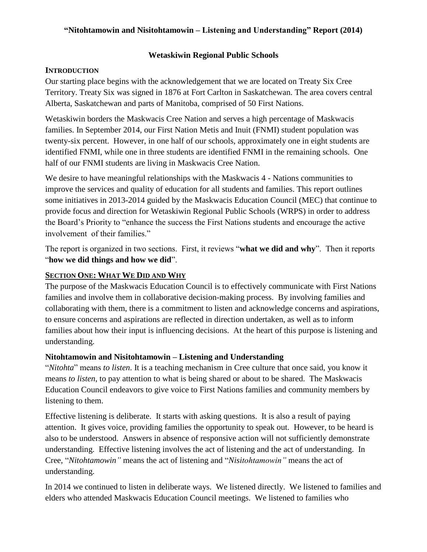## **Wetaskiwin Regional Public Schools**

## **INTRODUCTION**

Our starting place begins with the acknowledgement that we are located on Treaty Six Cree Territory. Treaty Six was signed in 1876 at Fort Carlton in Saskatchewan. The area covers central Alberta, Saskatchewan and parts of Manitoba, comprised of 50 First Nations.

Wetaskiwin borders the Maskwacis Cree Nation and serves a high percentage of Maskwacis families. In September 2014, our First Nation Metis and Inuit (FNMI) student population was twenty-six percent. However, in one half of our schools, approximately one in eight students are identified FNMI, while one in three students are identified FNMI in the remaining schools. One half of our FNMI students are living in Maskwacis Cree Nation.

We desire to have meaningful relationships with the Maskwacis 4 - Nations communities to improve the services and quality of education for all students and families. This report outlines some initiatives in 2013-2014 guided by the Maskwacis Education Council (MEC) that continue to provide focus and direction for Wetaskiwin Regional Public Schools (WRPS) in order to address the Board's Priority to "enhance the success the First Nations students and encourage the active involvement of their families."

The report is organized in two sections. First, it reviews "**what we did and why**". Then it reports "**how we did things and how we did**".

## **SECTION ONE: WHAT WE DID AND WHY**

The purpose of the Maskwacis Education Council is to effectively communicate with First Nations families and involve them in collaborative decision-making process. By involving families and collaborating with them, there is a commitment to listen and acknowledge concerns and aspirations, to ensure concerns and aspirations are reflected in direction undertaken, as well as to inform families about how their input is influencing decisions. At the heart of this purpose is listening and understanding.

## **Nitohtamowin and Nisitohtamowin – Listening and Understanding**

"*Nitohta*" means *to listen*. It is a teaching mechanism in Cree culture that once said, you know it means *to listen*, to pay attention to what is being shared or about to be shared. The Maskwacis Education Council endeavors to give voice to First Nations families and community members by listening to them.

Effective listening is deliberate. It starts with asking questions. It is also a result of paying attention. It gives voice, providing families the opportunity to speak out. However, to be heard is also to be understood. Answers in absence of responsive action will not sufficiently demonstrate understanding. Effective listening involves the act of listening and the act of understanding. In Cree, "*Nitohtamowin"* means the act of listening and "*Nisitohtamowin"* means the act of understanding.

In 2014 we continued to listen in deliberate ways. We listened directly. We listened to families and elders who attended Maskwacis Education Council meetings. We listened to families who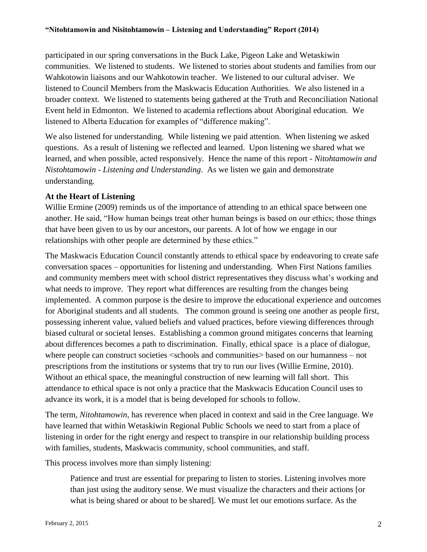participated in our spring conversations in the Buck Lake, Pigeon Lake and Wetaskiwin communities. We listened to students. We listened to stories about students and families from our Wahkotowin liaisons and our Wahkotowin teacher. We listened to our cultural adviser. We listened to Council Members from the Maskwacis Education Authorities. We also listened in a broader context. We listened to statements being gathered at the Truth and Reconciliation National Event held in Edmonton. We listened to academia reflections about Aboriginal education. We listened to Alberta Education for examples of "difference making".

We also listened for understanding. While listening we paid attention. When listening we asked questions. As a result of listening we reflected and learned. Upon listening we shared what we learned, and when possible, acted responsively. Hence the name of this report - *Nitohtamowin and Nistohtamowin - Listening and Understanding*. As we listen we gain and demonstrate understanding.

#### **At the Heart of Listening**

Willie Ermine (2009) reminds us of the importance of attending to an ethical space between one another. He said, "How human beings treat other human beings is based on our ethics; those things that have been given to us by our ancestors, our parents. A lot of how we engage in our relationships with other people are determined by these ethics."

The Maskwacis Education Council constantly attends to ethical space by endeavoring to create safe conversation spaces – opportunities for listening and understanding. When First Nations families and community members meet with school district representatives they discuss what's working and what needs to improve. They report what differences are resulting from the changes being implemented. A common purpose is the desire to improve the educational experience and outcomes for Aboriginal students and all students. The common ground is seeing one another as people first, possessing inherent value, valued beliefs and valued practices, before viewing differences through biased cultural or societal lenses. Establishing a common ground mitigates concerns that learning about differences becomes a path to discrimination. Finally, ethical space is a place of dialogue, where people can construct societies <schools and communities > based on our humanness – not prescriptions from the institutions or systems that try to run our lives (Willie Ermine, 2010). Without an ethical space, the meaningful construction of new learning will fall short. This attendance to ethical space is not only a practice that the Maskwacis Education Council uses to advance its work, it is a model that is being developed for schools to follow.

The term, *Nitohtamowin*, has reverence when placed in context and said in the Cree language. We have learned that within Wetaskiwin Regional Public Schools we need to start from a place of listening in order for the right energy and respect to transpire in our relationship building process with families, students, Maskwacis community, school communities, and staff.

This process involves more than simply listening:

Patience and trust are essential for preparing to listen to stories. Listening involves more than just using the auditory sense. We must visualize the characters and their actions [or what is being shared or about to be shared]. We must let our emotions surface. As the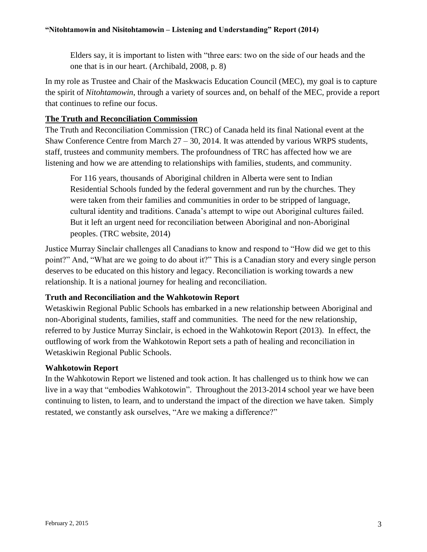Elders say, it is important to listen with "three ears: two on the side of our heads and the one that is in our heart. (Archibald, 2008, p. 8)

In my role as Trustee and Chair of the Maskwacis Education Council (MEC), my goal is to capture the spirit of *Nitohtamowin*, through a variety of sources and, on behalf of the MEC, provide a report that continues to refine our focus.

## **The Truth and Reconciliation Commission**

The Truth and Reconciliation Commission (TRC) of Canada held its final National event at the Shaw Conference Centre from March  $27 - 30$ , 2014. It was attended by various WRPS students, staff, trustees and community members. The profoundness of TRC has affected how we are listening and how we are attending to relationships with families, students, and community.

For 116 years, thousands of Aboriginal children in Alberta were sent to Indian Residential Schools funded by the federal government and run by the churches. They were taken from their families and communities in order to be stripped of language, cultural identity and traditions. Canada's attempt to wipe out Aboriginal cultures failed. But it left an urgent need for reconciliation between Aboriginal and non-Aboriginal peoples. (TRC website, 2014)

Justice Murray Sinclair challenges all Canadians to know and respond to "How did we get to this point?" And, "What are we going to do about it?" This is a Canadian story and every single person deserves to be educated on this history and legacy. Reconciliation is working towards a new relationship. It is a national journey for healing and reconciliation.

## **Truth and Reconciliation and the Wahkotowin Report**

Wetaskiwin Regional Public Schools has embarked in a new relationship between Aboriginal and non-Aboriginal students, families, staff and communities. The need for the new relationship, referred to by Justice Murray Sinclair, is echoed in the Wahkotowin Report (2013). In effect, the outflowing of work from the Wahkotowin Report sets a path of healing and reconciliation in Wetaskiwin Regional Public Schools.

## **Wahkotowin Report**

In the Wahkotowin Report we listened and took action. It has challenged us to think how we can live in a way that "embodies Wahkotowin". Throughout the 2013-2014 school year we have been continuing to listen, to learn, and to understand the impact of the direction we have taken. Simply restated, we constantly ask ourselves, "Are we making a difference?"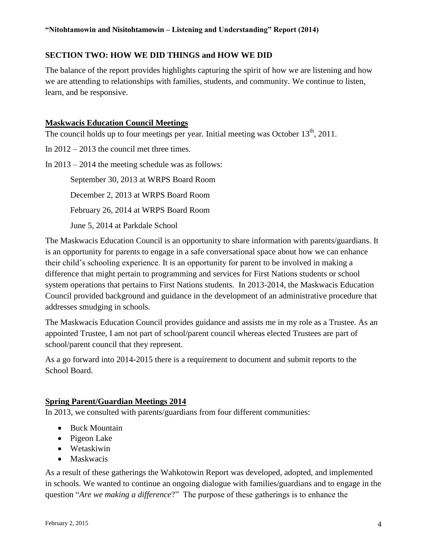## **SECTION TWO: HOW WE DID THINGS and HOW WE DID**

The balance of the report provides highlights capturing the spirit of how we are listening and how we are attending to relationships with families, students, and community. We continue to listen, learn, and be responsive.

#### **Maskwacis Education Council Meetings**

The council holds up to four meetings per year. Initial meeting was October  $13<sup>th</sup>$ , 2011.

In 2012 – 2013 the council met three times.

In 2013 – 2014 the meeting schedule was as follows:

September 30, 2013 at WRPS Board Room December 2, 2013 at WRPS Board Room February 26, 2014 at WRPS Board Room June 5, 2014 at Parkdale School

The Maskwacis Education Council is an opportunity to share information with parents/guardians. It is an opportunity for parents to engage in a safe conversational space about how we can enhance their child's schooling experience. It is an opportunity for parent to be involved in making a difference that might pertain to programming and services for First Nations students or school system operations that pertains to First Nations students. In 2013-2014, the Maskwacis Education Council provided background and guidance in the development of an administrative procedure that addresses smudging in schools.

The Maskwacis Education Council provides guidance and assists me in my role as a Trustee. As an appointed Trustee, I am not part of school/parent council whereas elected Trustees are part of school/parent council that they represent.

As a go forward into 2014-2015 there is a requirement to document and submit reports to the School Board.

## **Spring Parent/Guardian Meetings 2014**

In 2013, we consulted with parents/guardians from four different communities:

- Buck Mountain
- Pigeon Lake
- Wetaskiwin
- Maskwacis

As a result of these gatherings the Wahkotowin Report was developed, adopted, and implemented in schools. We wanted to continue an ongoing dialogue with families/guardians and to engage in the question "*Are we making a difference*?" The purpose of these gatherings is to enhance the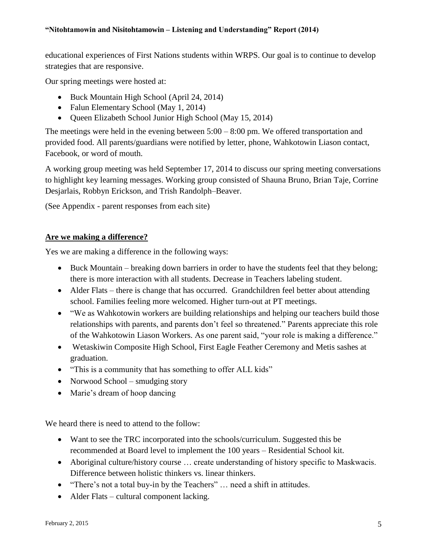educational experiences of First Nations students within WRPS. Our goal is to continue to develop strategies that are responsive.

Our spring meetings were hosted at:

- Buck Mountain High School (April 24, 2014)
- Falun Elementary School (May 1, 2014)
- Queen Elizabeth School Junior High School (May 15, 2014)

The meetings were held in the evening between 5:00 – 8:00 pm. We offered transportation and provided food. All parents/guardians were notified by letter, phone, Wahkotowin Liason contact, Facebook, or word of mouth.

A working group meeting was held September 17, 2014 to discuss our spring meeting conversations to highlight key learning messages. Working group consisted of Shauna Bruno, Brian Taje, Corrine Desjarlais, Robbyn Erickson, and Trish Randolph–Beaver.

(See Appendix - parent responses from each site)

#### **Are we making a difference?**

Yes we are making a difference in the following ways:

- Buck Mountain breaking down barriers in order to have the students feel that they belong; there is more interaction with all students. Decrease in Teachers labeling student.
- Alder Flats there is change that has occurred. Grandchildren feel better about attending school. Families feeling more welcomed. Higher turn-out at PT meetings.
- "We as Wahkotowin workers are building relationships and helping our teachers build those relationships with parents, and parents don't feel so threatened." Parents appreciate this role of the Wahkotowin Liason Workers. As one parent said, "your role is making a difference."
- Wetaskiwin Composite High School, First Eagle Feather Ceremony and Metis sashes at graduation.
- "This is a community that has something to offer ALL kids"
- Norwood School smudging story
- Marie's dream of hoop dancing

We heard there is need to attend to the follow:

- Want to see the TRC incorporated into the schools/curriculum. Suggested this be recommended at Board level to implement the 100 years – Residential School kit.
- Aboriginal culture/history course … create understanding of history specific to Maskwacis. Difference between holistic thinkers vs. linear thinkers.
- "There's not a total buy-in by the Teachers" … need a shift in attitudes.
- Alder Flats cultural component lacking.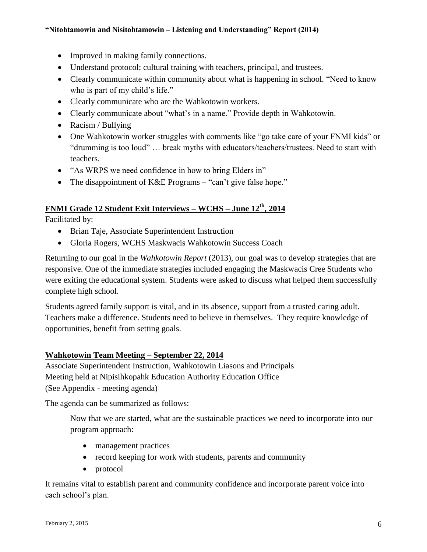- Improved in making family connections.
- Understand protocol; cultural training with teachers, principal, and trustees.
- Clearly communicate within community about what is happening in school. "Need to know who is part of my child's life."
- Clearly communicate who are the Wahkotowin workers.
- Clearly communicate about "what's in a name." Provide depth in Wahkotowin.
- Racism / Bullying
- One Wahkotowin worker struggles with comments like "go take care of your FNMI kids" or "drumming is too loud" … break myths with educators/teachers/trustees. Need to start with teachers.
- "As WRPS we need confidence in how to bring Elders in"
- The disappointment of K&E Programs "can't give false hope."

# **FNMI Grade 12 Student Exit Interviews – WCHS – June 12th, 2014**

Facilitated by:

- Brian Taje, Associate Superintendent Instruction
- Gloria Rogers, WCHS Maskwacis Wahkotowin Success Coach

Returning to our goal in the *Wahkotowin Report* (2013), our goal was to develop strategies that are responsive. One of the immediate strategies included engaging the Maskwacis Cree Students who were exiting the educational system. Students were asked to discuss what helped them successfully complete high school.

Students agreed family support is vital, and in its absence, support from a trusted caring adult. Teachers make a difference. Students need to believe in themselves. They require knowledge of opportunities, benefit from setting goals.

## **Wahkotowin Team Meeting – September 22, 2014**

Associate Superintendent Instruction, Wahkotowin Liasons and Principals Meeting held at Nipisihkopahk Education Authority Education Office (See Appendix - meeting agenda)

The agenda can be summarized as follows:

Now that we are started, what are the sustainable practices we need to incorporate into our program approach:

- management practices
- record keeping for work with students, parents and community
- protocol

It remains vital to establish parent and community confidence and incorporate parent voice into each school's plan.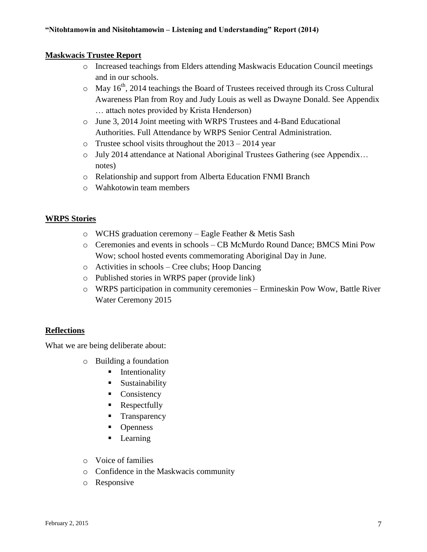#### **Maskwacis Trustee Report**

- o Increased teachings from Elders attending Maskwacis Education Council meetings and in our schools.
- $\circ$  May 16<sup>th</sup>, 2014 teachings the Board of Trustees received through its Cross Cultural Awareness Plan from Roy and Judy Louis as well as Dwayne Donald. See Appendix … attach notes provided by Krista Henderson)
- o June 3, 2014 Joint meeting with WRPS Trustees and 4-Band Educational Authorities. Full Attendance by WRPS Senior Central Administration.
- $\circ$  Trustee school visits throughout the 2013 2014 year
- o July 2014 attendance at National Aboriginal Trustees Gathering (see Appendix… notes)
- o Relationship and support from Alberta Education FNMI Branch
- o Wahkotowin team members

#### **WRPS Stories**

- o WCHS graduation ceremony Eagle Feather & Metis Sash
- o Ceremonies and events in schools CB McMurdo Round Dance; BMCS Mini Pow Wow; school hosted events commemorating Aboriginal Day in June.
- o Activities in schools Cree clubs; Hoop Dancing
- o Published stories in WRPS paper (provide link)
- o WRPS participation in community ceremonies Ermineskin Pow Wow, Battle River Water Ceremony 2015

## **Reflections**

What we are being deliberate about:

- o Building a foundation
	- **Intentionality**
	- **Sustainability**
	- Consistency
	- Respectfully
	- **Transparency**
	- Openness
	- **Learning**
- o Voice of families
- o Confidence in the Maskwacis community
- o Responsive